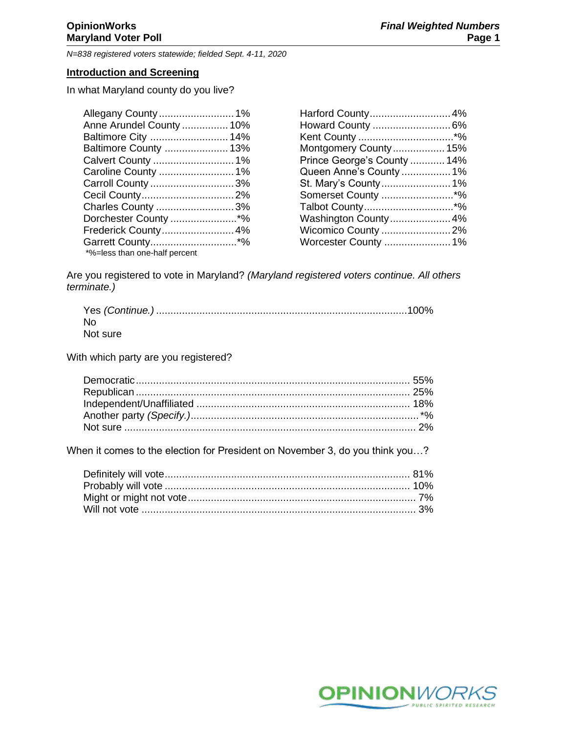# **Introduction and Screening**

In what Maryland county do you live?

| Allegany County  1%           |  |
|-------------------------------|--|
| Anne Arundel County  10%      |  |
| Baltimore City  14%           |  |
| Baltimore County  13%         |  |
| Calvert County  1%            |  |
| Caroline County  1%           |  |
| Carroll County  3%            |  |
|                               |  |
| Charles County  3%            |  |
| Dorchester County *%          |  |
| Frederick County 4%           |  |
| Garrett County*%              |  |
| *%=less than one-half percent |  |

| Harford County 4%           |  |
|-----------------------------|--|
| Howard County  6%           |  |
|                             |  |
| Montgomery County 15%       |  |
| Prince George's County  14% |  |
| Queen Anne's County  1%     |  |
| St. Mary's County  1%       |  |
| Somerset County *%          |  |
| Talbot County*%             |  |
| Washington County 4%        |  |
| Wicomico County 2%          |  |
| Worcester County  1%        |  |
|                             |  |

Are you registered to vote in Maryland? *(Maryland registered voters continue. All others terminate.)*

| <b>No</b> |  |
|-----------|--|
| Not sure  |  |

With which party are you registered?

When it comes to the election for President on November 3, do you think you…?

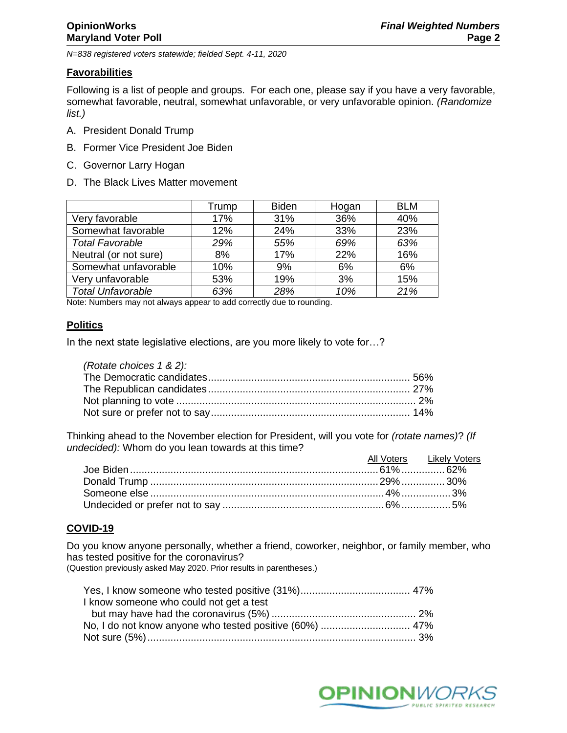## **Favorabilities**

Following is a list of people and groups. For each one, please say if you have a very favorable, somewhat favorable, neutral, somewhat unfavorable, or very unfavorable opinion. *(Randomize list.)*

- A. President Donald Trump
- B. Former Vice President Joe Biden
- C. Governor Larry Hogan
- D. The Black Lives Matter movement

|                          | Trump | <b>Biden</b> | Hogan | <b>BLM</b> |
|--------------------------|-------|--------------|-------|------------|
| Very favorable           | 17%   | 31%          | 36%   | 40%        |
| Somewhat favorable       | 12%   | 24%          | 33%   | 23%        |
| <b>Total Favorable</b>   | 29%   | 55%          | 69%   | 63%        |
| Neutral (or not sure)    | 8%    | 17%          | 22%   | 16%        |
| Somewhat unfavorable     | 10%   | 9%           | 6%    | 6%         |
| Very unfavorable         | 53%   | 19%          | 3%    | 15%        |
| <b>Total Unfavorable</b> | 63%   | 28%          | 10%   | 21%        |

Note: Numbers may not always appear to add correctly due to rounding.

## **Politics**

In the next state legislative elections, are you more likely to vote for…?

| (Rotate choices 1 & 2): |  |
|-------------------------|--|
|                         |  |
|                         |  |
|                         |  |
|                         |  |

Thinking ahead to the November election for President, will you vote for *(rotate names)*? *(If undecided):* Whom do you lean towards at this time?

|  | All Voters Likely Voters |
|--|--------------------------|
|  |                          |
|  |                          |
|  |                          |
|  |                          |

## **COVID-19**

Do you know anyone personally, whether a friend, coworker, neighbor, or family member, who has tested positive for the coronavirus?

(Question previously asked May 2020. Prior results in parentheses.)

| I know someone who could not get a test |  |
|-----------------------------------------|--|
|                                         |  |
|                                         |  |
|                                         |  |

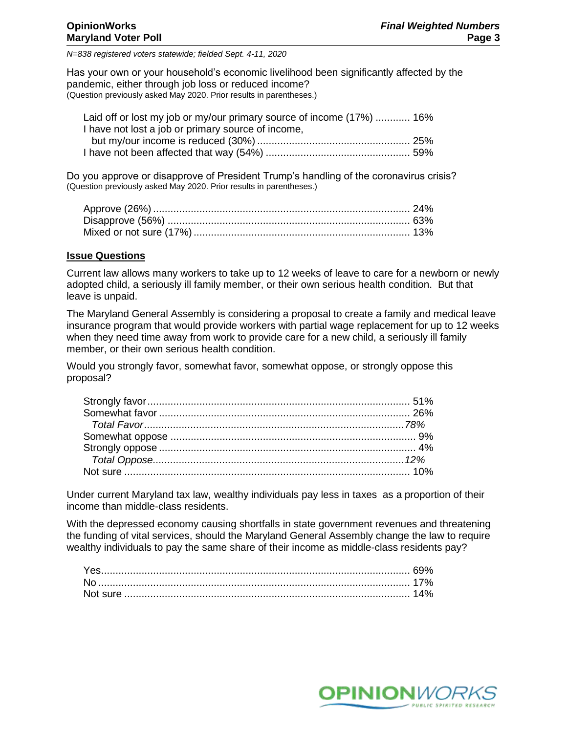Has your own or your household's economic livelihood been significantly affected by the pandemic, either through job loss or reduced income? (Question previously asked May 2020. Prior results in parentheses.)

| Laid off or lost my job or my/our primary source of income (17%)  16% |  |
|-----------------------------------------------------------------------|--|
| I have not lost a job or primary source of income,                    |  |
|                                                                       |  |
|                                                                       |  |

Do you approve or disapprove of President Trump's handling of the coronavirus crisis? (Question previously asked May 2020. Prior results in parentheses.)

#### **Issue Questions**

Current law allows many workers to take up to 12 weeks of leave to care for a newborn or newly adopted child, a seriously ill family member, or their own serious health condition. But that leave is unpaid.

The Maryland General Assembly is considering a proposal to create a family and medical leave insurance program that would provide workers with partial wage replacement for up to 12 weeks when they need time away from work to provide care for a new child, a seriously ill family member, or their own serious health condition.

Would you strongly favor, somewhat favor, somewhat oppose, or strongly oppose this proposal?

Under current Maryland tax law, wealthy individuals pay less in taxes as a proportion of their income than middle-class residents.

With the depressed economy causing shortfalls in state government revenues and threatening the funding of vital services, should the Maryland General Assembly change the law to require wealthy individuals to pay the same share of their income as middle-class residents pay?